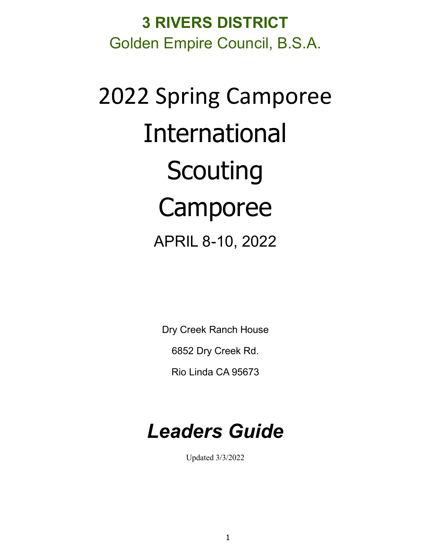**3 RIVERS DISTRICT** Golden Empire Council, B.S.A.

# 2022 Spring Camporee International **Scouting** Camporee APRIL 8-10, 2022

Dry Creek Ranch House

6852 Dry Creek Rd.

Rio Linda CA 95673

# *Leaders Guide*

Updated 3/3/2022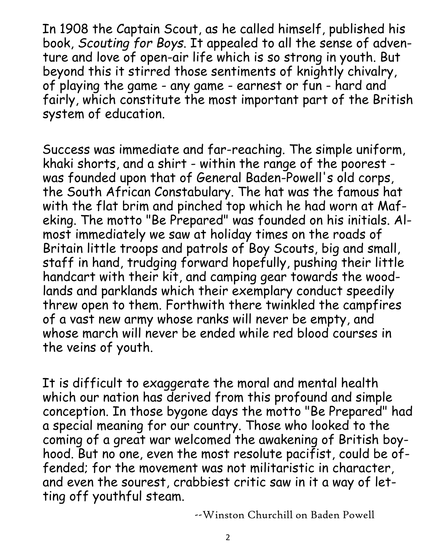In 1908 the Captain Scout, as he called himself, published his book, *Scouting for Boys*. It appealed to all the sense of adventure and love of open-air life which is so strong in youth. But beyond this it stirred those sentiments of knightly chivalry, of playing the game - any game - earnest or fun - hard and fairly, which constitute the most important part of the British system of education.

Success was immediate and far-reaching. The simple uniform, khaki shorts, and a shirt - within the range of the poorest was founded upon that of General Baden-Powell's old corps, the South African Constabulary. The hat was the famous hat with the flat brim and pinched top which he had worn at Mafeking. The motto "Be Prepared" was founded on his initials. Almost immediately we saw at holiday times on the roads of Britain little troops and patrols of Boy Scouts, big and small, staff in hand, trudging forward hopefully, pushing their little handcart with their kit, and camping gear towards the woodlands and parklands which their exemplary conduct speedily threw open to them. Forthwith there twinkled the campfires of a vast new army whose ranks will never be empty, and whose march will never be ended while red blood courses in the veins of youth.

It is difficult to exaggerate the moral and mental health which our nation has derived from this profound and simple conception. In those bygone days the motto "Be Prepared" had a special meaning for our country. Those who looked to the coming of a great war welcomed the awakening of British boyhood. But no one, even the most resolute pacifist, could be offended; for the movement was not militaristic in character, and even the sourest, crabbiest critic saw in it a way of letting off youthful steam.

--Winston Churchill on Baden Powell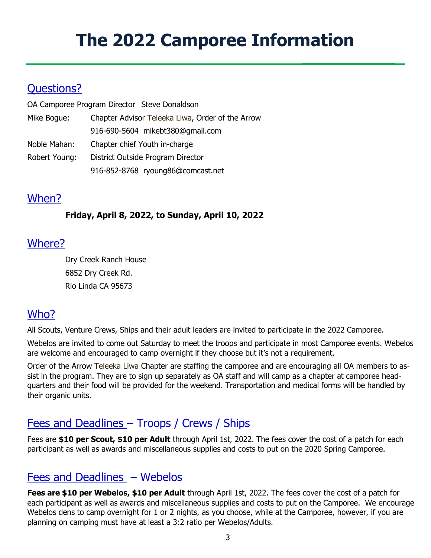## **The 2022 Camporee Information**

### Questions?

|               | OA Camporee Program Director Steve Donaldson     |  |  |
|---------------|--------------------------------------------------|--|--|
| Mike Boque:   | Chapter Advisor Teleeka Liwa, Order of the Arrow |  |  |
|               | 916-690-5604 mikebt380@gmail.com                 |  |  |
| Noble Mahan:  | Chapter chief Youth in-charge                    |  |  |
| Robert Young: | District Outside Program Director                |  |  |
|               | 916-852-8768 ryoung86@comcast.net                |  |  |

### When?

**Friday, April 8, 2022, to Sunday, April 10, 2022**

### Where?

Dry Creek Ranch House 6852 Dry Creek Rd. Rio Linda CA 95673

### Who?

All Scouts, Venture Crews, Ships and their adult leaders are invited to participate in the 2022 Camporee.

Webelos are invited to come out Saturday to meet the troops and participate in most Camporee events. Webelos are welcome and encouraged to camp overnight if they choose but it's not a requirement.

Order of the Arrow Teleeka Liwa Chapter are staffing the camporee and are encouraging all OA members to assist in the program. They are to sign up separately as OA staff and will camp as a chapter at camporee headquarters and their food will be provided for the weekend. Transportation and medical forms will be handled by their organic units.

### Fees and Deadlines – Troops / Crews / Ships

Fees are **\$10 per Scout, \$10 per Adult** through April 1st, 2022. The fees cover the cost of a patch for each participant as well as awards and miscellaneous supplies and costs to put on the 2020 Spring Camporee.

### Fees and Deadlines – Webelos

**Fees are \$10 per Webelos, \$10 per Adult** through April 1st, 2022. The fees cover the cost of a patch for each participant as well as awards and miscellaneous supplies and costs to put on the Camporee. We encourage Webelos dens to camp overnight for 1 or 2 nights, as you choose, while at the Camporee, however, if you are planning on camping must have at least a 3:2 ratio per Webelos/Adults.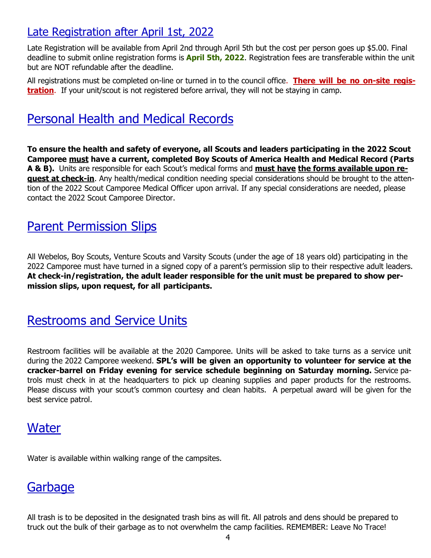### Late Registration after April 1st, 2022

Late Registration will be available from April 2nd through April 5th but the cost per person goes up \$5.00. Final deadline to submit online registration forms is **April 5th, 2022**. Registration fees are transferable within the unit but are NOT refundable after the deadline.

All registrations must be completed on-line or turned in to the council office. **There will be no on-site registration**. If your unit/scout is not registered before arrival, they will not be staying in camp.

### Personal Health and Medical Records

**To ensure the health and safety of everyone, all Scouts and leaders participating in the 2022 Scout Camporee must have a current, completed Boy Scouts of America Health and Medical Record (Parts A & B).** Units are responsible for each Scout's medical forms and **must have the forms available upon request at check-in**. Any health/medical condition needing special considerations should be brought to the attention of the 2022 Scout Camporee Medical Officer upon arrival. If any special considerations are needed, please contact the 2022 Scout Camporee Director.

### **Parent Permission Slips**

All Webelos, Boy Scouts, Venture Scouts and Varsity Scouts (under the age of 18 years old) participating in the 2022 Camporee must have turned in a signed copy of a parent's permission slip to their respective adult leaders. **At check-in/registration, the adult leader responsible for the unit must be prepared to show permission slips, upon request, for all participants.**

### Restrooms and Service Units

Restroom facilities will be available at the 2020 Camporee. Units will be asked to take turns as a service unit during the 2022 Camporee weekend. **SPL's will be given an opportunity to volunteer for service at the cracker-barrel on Friday evening for service schedule beginning on Saturday morning.** Service patrols must check in at the headquarters to pick up cleaning supplies and paper products for the restrooms. Please discuss with your scout's common courtesy and clean habits. A perpetual award will be given for the best service patrol.

### **Water**

Water is available within walking range of the campsites.

### **Garbage**

All trash is to be deposited in the designated trash bins as will fit. All patrols and dens should be prepared to truck out the bulk of their garbage as to not overwhelm the camp facilities. REMEMBER: Leave No Trace!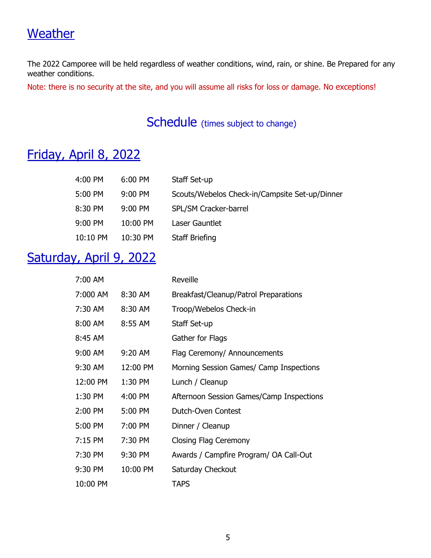### **Weather**

The 2022 Camporee will be held regardless of weather conditions, wind, rain, or shine. Be Prepared for any weather conditions.

Note: there is no security at the site, and you will assume all risks for loss or damage. No exceptions!

### Schedule (times subject to change)

### Friday, April 8, 2022

| 4:00 PM  | 6:00 PM  | Staff Set-up                                   |
|----------|----------|------------------------------------------------|
| 5:00 PM  | 9:00 PM  | Scouts/Webelos Check-in/Campsite Set-up/Dinner |
| 8:30 PM  | 9:00 PM  | SPL/SM Cracker-barrel                          |
| 9:00 PM  | 10:00 PM | Laser Gauntlet                                 |
| 10:10 PM | 10:30 PM | <b>Staff Briefing</b>                          |

### Saturday, April 9, 2022

| 7:00 AM  |          | Reveille                                 |
|----------|----------|------------------------------------------|
| 7:000 AM | 8:30 AM  | Breakfast/Cleanup/Patrol Preparations    |
| 7:30 AM  | 8:30 AM  | Troop/Webelos Check-in                   |
| 8:00 AM  | 8:55 AM  | Staff Set-up                             |
| 8:45 AM  |          | Gather for Flags                         |
| 9:00 AM  | 9:20 AM  | Flag Ceremony/ Announcements             |
| 9:30 AM  | 12:00 PM | Morning Session Games/ Camp Inspections  |
| 12:00 PM | 1:30 PM  | Lunch / Cleanup                          |
| 1:30 PM  | 4:00 PM  | Afternoon Session Games/Camp Inspections |
| 2:00 PM  | 5:00 PM  | Dutch-Oven Contest                       |
| 5:00 PM  | 7:00 PM  | Dinner / Cleanup                         |
| 7:15 PM  | 7:30 PM  | Closing Flag Ceremony                    |
| 7:30 PM  | 9:30 PM  | Awards / Campfire Program/ OA Call-Out   |
| 9:30 PM  | 10:00 PM | Saturday Checkout                        |
| 10:00 PM |          | <b>TAPS</b>                              |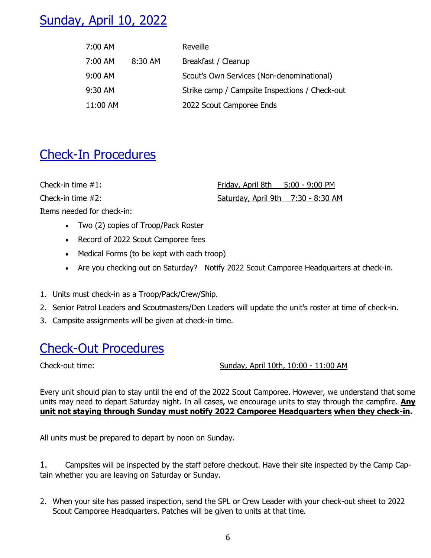### Sunday, April 10, 2022

| 7:00 AM   |         | Reveille                                       |
|-----------|---------|------------------------------------------------|
| 7:00 AM   | 8:30 AM | Breakfast / Cleanup                            |
| $9:00$ AM |         | Scout's Own Services (Non-denominational)      |
| 9:30 AM   |         | Strike camp / Campsite Inspections / Check-out |
| 11:00 AM  |         | 2022 Scout Camporee Ends                       |

### Check-In Procedures

Check-in time #1: Friday, April 8th 5:00 - 9:00 PM

Items needed for check-in:

- Check-in time #2: Saturday, April 9th 7:30 8:30 AM
	- Two (2) copies of Troop/Pack Roster
	- Record of 2022 Scout Camporee fees
	- Medical Forms (to be kept with each troop)
	- Are you checking out on Saturday? Notify 2022 Scout Camporee Headquarters at check-in.
- 1. Units must check-in as a Troop/Pack/Crew/Ship.
- 2. Senior Patrol Leaders and Scoutmasters/Den Leaders will update the unit's roster at time of check-in.
- 3. Campsite assignments will be given at check-in time.

### Check-Out Procedures

Check-out time: Sunday, April 10th, 10:00 - 11:00 AM

Every unit should plan to stay until the end of the 2022 Scout Camporee. However, we understand that some units may need to depart Saturday night. In all cases, we encourage units to stay through the campfire. **Any unit not staying through Sunday must notify 2022 Camporee Headquarters when they check-in.**

All units must be prepared to depart by noon on Sunday.

1. Campsites will be inspected by the staff before checkout. Have their site inspected by the Camp Captain whether you are leaving on Saturday or Sunday.

2. When your site has passed inspection, send the SPL or Crew Leader with your check-out sheet to 2022 Scout Camporee Headquarters. Patches will be given to units at that time.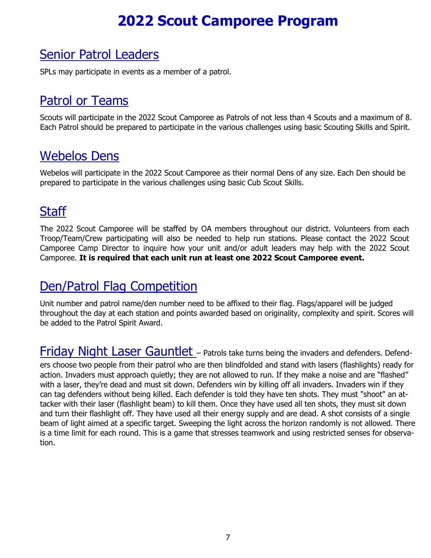### **2022 Scout Camporee Program**

### Senior Patrol Leaders

SPLs may participate in events as a member of a patrol.

### **Patrol or Teams**

Scouts will participate in the 2022 Scout Camporee as Patrols of not less than 4 Scouts and a maximum of 8. Each Patrol should be prepared to participate in the various challenges using basic Scouting Skills and Spirit.

### Webelos Dens

Webelos will participate in the 2022 Scout Camporee as their normal Dens of any size. Each Den should be prepared to participate in the various challenges using basic Cub Scout Skills.

### **Staff**

The 2022 Scout Camporee will be staffed by OA members throughout our district. Volunteers from each Troop/Team/Crew participating will also be needed to help run stations. Please contact the 2022 Scout Camporee Camp Director to inquire how your unit and/or adult leaders may help with the 2022 Scout Camporee. **It is required that each unit run at least one 2022 Scout Camporee event.**

### Den/Patrol Flag Competition

Unit number and patrol name/den number need to be affixed to their flag. Flags/apparel will be judged throughout the day at each station and points awarded based on originality, complexity and spirit. Scores will be added to the Patrol Spirit Award.

Friday Night Laser Gauntlet – Patrols take turns being the invaders and defenders. Defenders choose two people from their patrol who are then blindfolded and stand with lasers (flashlights) ready for action. Invaders must approach quietly; they are not allowed to run. If they make a noise and are "flashed" with a laser, they're dead and must sit down. Defenders win by killing off all invaders. Invaders win if they can tag defenders without being killed. Each defender is told they have ten shots. They must "shoot" an attacker with their laser (flashlight beam) to kill them. Once they have used all ten shots, they must sit down and turn their flashlight off. They have used all their energy supply and are dead. A shot consists of a single beam of light aimed at a specific target. Sweeping the light across the horizon randomly is not allowed. There is a time limit for each round. This is a game that stresses teamwork and using restricted senses for observation.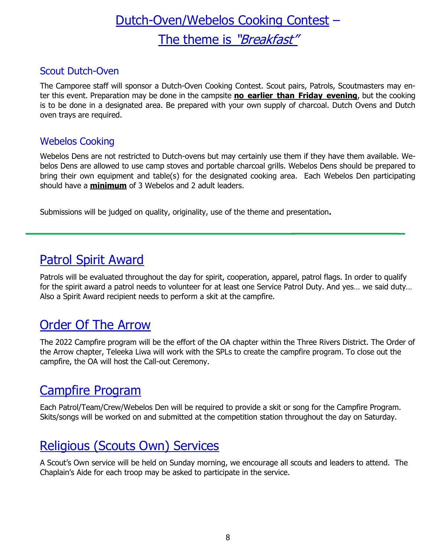### Dutch-Oven/Webelos Cooking Contest –

The theme is "Breakfast"

#### Scout Dutch-Oven

The Camporee staff will sponsor a Dutch-Oven Cooking Contest. Scout pairs, Patrols, Scoutmasters may enter this event. Preparation may be done in the campsite **no earlier than Friday evening**, but the cooking is to be done in a designated area. Be prepared with your own supply of charcoal. Dutch Ovens and Dutch oven trays are required.

#### Webelos Cooking

Webelos Dens are not restricted to Dutch-ovens but may certainly use them if they have them available. Webelos Dens are allowed to use camp stoves and portable charcoal grills. Webelos Dens should be prepared to bring their own equipment and table(s) for the designated cooking area. Each Webelos Den participating should have a **minimum** of 3 Webelos and 2 adult leaders.

Submissions will be judged on quality, originality, use of the theme and presentation**.**

### Patrol Spirit Award

Patrols will be evaluated throughout the day for spirit, cooperation, apparel, patrol flags. In order to qualify for the spirit award a patrol needs to volunteer for at least one Service Patrol Duty. And yes… we said duty… Also a Spirit Award recipient needs to perform a skit at the campfire.

### Order Of The Arrow

The 2022 Campfire program will be the effort of the OA chapter within the Three Rivers District. The Order of the Arrow chapter, Teleeka Liwa will work with the SPLs to create the campfire program. To close out the campfire, the OA will host the Call-out Ceremony.

### Campfire Program

Each Patrol/Team/Crew/Webelos Den will be required to provide a skit or song for the Campfire Program. Skits/songs will be worked on and submitted at the competition station throughout the day on Saturday.

### Religious (Scouts Own) Services

A Scout's Own service will be held on Sunday morning, we encourage all scouts and leaders to attend. The Chaplain's Aide for each troop may be asked to participate in the service.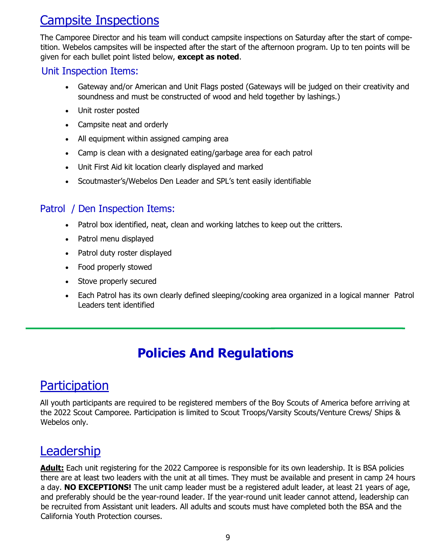### Campsite Inspections

The Camporee Director and his team will conduct campsite inspections on Saturday after the start of competition. Webelos campsites will be inspected after the start of the afternoon program. Up to ten points will be given for each bullet point listed below, **except as noted**.

#### Unit Inspection Items:

- Gateway and/or American and Unit Flags posted (Gateways will be judged on their creativity and soundness and must be constructed of wood and held together by lashings.)
- Unit roster posted
- Campsite neat and orderly
- All equipment within assigned camping area
- Camp is clean with a designated eating/garbage area for each patrol
- Unit First Aid kit location clearly displayed and marked
- Scoutmaster's/Webelos Den Leader and SPL's tent easily identifiable

#### Patrol / Den Inspection Items:

- Patrol box identified, neat, clean and working latches to keep out the critters.
- Patrol menu displayed
- Patrol duty roster displayed
- Food properly stowed
- Stove properly secured
- Each Patrol has its own clearly defined sleeping/cooking area organized in a logical manner Patrol Leaders tent identified

### **Policies And Regulations**

### **Participation**

All youth participants are required to be registered members of the Boy Scouts of America before arriving at the 2022 Scout Camporee. Participation is limited to Scout Troops/Varsity Scouts/Venture Crews/ Ships & Webelos only.

### **Leadership**

Adult: Each unit registering for the 2022 Camporee is responsible for its own leadership. It is BSA policies there are at least two leaders with the unit at all times. They must be available and present in camp 24 hours a day. **NO EXCEPTIONS!** The unit camp leader must be a registered adult leader, at least 21 years of age, and preferably should be the year-round leader. If the year-round unit leader cannot attend, leadership can be recruited from Assistant unit leaders. All adults and scouts must have completed both the BSA and the California Youth Protection courses.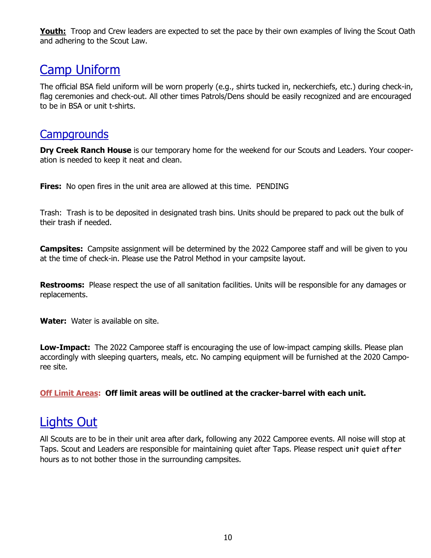Youth: Troop and Crew leaders are expected to set the pace by their own examples of living the Scout Oath and adhering to the Scout Law.

### Camp Uniform

The official BSA field uniform will be worn properly (e.g., shirts tucked in, neckerchiefs, etc.) during check-in, flag ceremonies and check-out. All other times Patrols/Dens should be easily recognized and are encouraged to be in BSA or unit t-shirts.

#### **Campgrounds**

**Dry Creek Ranch House** is our temporary home for the weekend for our Scouts and Leaders. Your cooperation is needed to keep it neat and clean.

**Fires:** No open fires in the unit area are allowed at this time. PENDING

Trash: Trash is to be deposited in designated trash bins. Units should be prepared to pack out the bulk of their trash if needed.

**Campsites:** Campsite assignment will be determined by the 2022 Camporee staff and will be given to you at the time of check-in. Please use the Patrol Method in your campsite layout.

**Restrooms:** Please respect the use of all sanitation facilities. Units will be responsible for any damages or replacements.

**Water:** Water is available on site.

**Low-Impact:** The 2022 Camporee staff is encouraging the use of low-impact camping skills. Please plan accordingly with sleeping quarters, meals, etc. No camping equipment will be furnished at the 2020 Camporee site.

**Off Limit Areas: Off limit areas will be outlined at the cracker-barrel with each unit.** 

### Lights Out

All Scouts are to be in their unit area after dark, following any 2022 Camporee events. All noise will stop at Taps. Scout and Leaders are responsible for maintaining quiet after Taps. Please respect unit quiet after hours as to not bother those in the surrounding campsites.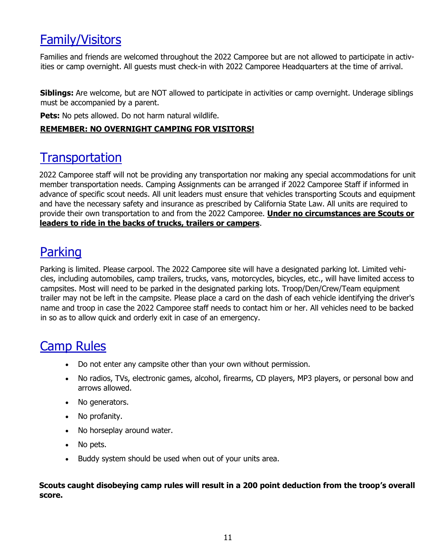### Family/Visitors

Families and friends are welcomed throughout the 2022 Camporee but are not allowed to participate in activities or camp overnight. All guests must check-in with 2022 Camporee Headquarters at the time of arrival.

**Siblings:** Are welcome, but are NOT allowed to participate in activities or camp overnight. Underage siblings must be accompanied by a parent.

Pets: No pets allowed. Do not harm natural wildlife.

#### **REMEMBER: NO OVERNIGHT CAMPING FOR VISITORS!**

### **Transportation**

2022 Camporee staff will not be providing any transportation nor making any special accommodations for unit member transportation needs. Camping Assignments can be arranged if 2022 Camporee Staff if informed in advance of specific scout needs. All unit leaders must ensure that vehicles transporting Scouts and equipment and have the necessary safety and insurance as prescribed by California State Law. All units are required to provide their own transportation to and from the 2022 Camporee. **Under no circumstances are Scouts or leaders to ride in the backs of trucks, trailers or campers**.

### Parking

Parking is limited. Please carpool. The 2022 Camporee site will have a designated parking lot. Limited vehicles, including automobiles, camp trailers, trucks, vans, motorcycles, bicycles, etc., will have limited access to campsites. Most will need to be parked in the designated parking lots. Troop/Den/Crew/Team equipment trailer may not be left in the campsite. Please place a card on the dash of each vehicle identifying the driver's name and troop in case the 2022 Camporee staff needs to contact him or her. All vehicles need to be backed in so as to allow quick and orderly exit in case of an emergency.

### Camp Rules

- Do not enter any campsite other than your own without permission.
- No radios, TVs, electronic games, alcohol, firearms, CD players, MP3 players, or personal bow and arrows allowed.
- No generators.
- No profanity.
- No horseplay around water.
- No pets.
- Buddy system should be used when out of your units area.

#### **Scouts caught disobeying camp rules will result in a 200 point deduction from the troop's overall score.**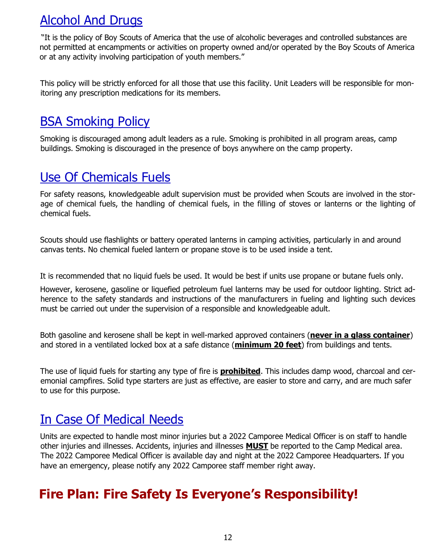### Alcohol And Drugs

"It is the policy of Boy Scouts of America that the use of alcoholic beverages and controlled substances are not permitted at encampments or activities on property owned and/or operated by the Boy Scouts of America or at any activity involving participation of youth members."

This policy will be strictly enforced for all those that use this facility. Unit Leaders will be responsible for monitoring any prescription medications for its members.

### **BSA Smoking Policy**

Smoking is discouraged among adult leaders as a rule. Smoking is prohibited in all program areas, camp buildings. Smoking is discouraged in the presence of boys anywhere on the camp property.

### Use Of Chemicals Fuels

For safety reasons, knowledgeable adult supervision must be provided when Scouts are involved in the storage of chemical fuels, the handling of chemical fuels, in the filling of stoves or lanterns or the lighting of chemical fuels.

Scouts should use flashlights or battery operated lanterns in camping activities, particularly in and around canvas tents. No chemical fueled lantern or propane stove is to be used inside a tent.

It is recommended that no liquid fuels be used. It would be best if units use propane or butane fuels only.

However, kerosene, gasoline or liquefied petroleum fuel lanterns may be used for outdoor lighting. Strict adherence to the safety standards and instructions of the manufacturers in fueling and lighting such devices must be carried out under the supervision of a responsible and knowledgeable adult.

Both gasoline and kerosene shall be kept in well-marked approved containers (**never in a glass container**) and stored in a ventilated locked box at a safe distance (**minimum 20 feet**) from buildings and tents.

The use of liquid fuels for starting any type of fire is **prohibited**. This includes damp wood, charcoal and ceremonial campfires. Solid type starters are just as effective, are easier to store and carry, and are much safer to use for this purpose.

### In Case Of Medical Needs

Units are expected to handle most minor injuries but a 2022 Camporee Medical Officer is on staff to handle other injuries and illnesses. Accidents, injuries and illnesses **MUST** be reported to the Camp Medical area. The 2022 Camporee Medical Officer is available day and night at the 2022 Camporee Headquarters. If you have an emergency, please notify any 2022 Camporee staff member right away.

### **Fire Plan: Fire Safety Is Everyone's Responsibility!**